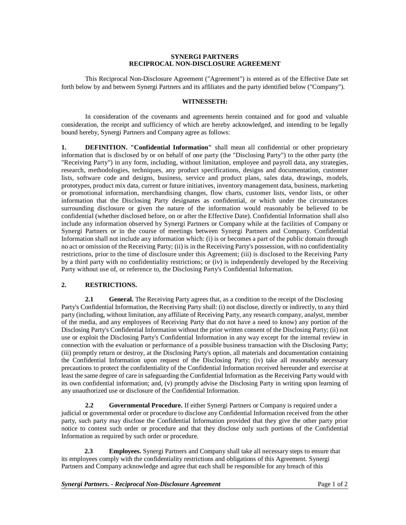#### **SYNERGI PARTNERS RECIPROCAL NON-DISCLOSURE AGREEMENT**

This Reciprocal Non-Disclosure Agreement ("Agreement") is entered as of the Effective Date set forth below by and between Synergi Partners and its affiliates and the party identified below ("Company").

### **WITNESSETH:**

In consideration of the covenants and agreements herein contained and for good and valuable consideration, the receipt and sufficiency of which are hereby acknowledged, and intending to be legally bound hereby, Synergi Partners and Company agree as follows:

**1. DEFINITION. "Confidential Information"** shall mean all confidential or other proprietary information that is disclosed by or on behalf of one party (the "Disclosing Party") to the other party (the "Receiving Party") in any form, including, without limitation, employee and payroll data, any strategies, research, methodologies, techniques, any product specifications, designs and documentation, customer lists, software code and designs, business, service and product plans, sales data, drawings, models, prototypes, product mix data, current or future initiatives, inventory management data, business, marketing or promotional information, merchandising changes, flow charts, customer lists, vendor lists, or other information that the Disclosing Party designates as confidential, or which under the circumstances surrounding disclosure or given the nature of the information would reasonably be believed to be confidential (whether disclosed before, on or after the Effective Date). Confidential Information shall also include any information observed by Synergi Partners or Company while at the facilities of Company or Synergi Partners or in the course of meetings between Synergi Partners and Company. Confidential Information shall not include any information which: (i) is or becomes a part of the public domain through no act or omission of the Receiving Party; (ii) is in the Receiving Party's possession, with no confidentiality restrictions, prior to the time of disclosure under this Agreement; (iii) is disclosed to the Receiving Party by a third party with no confidentiality restrictions; or (iv) is independently developed by the Receiving Party without use of, or reference to, the Disclosing Party's Confidential Information.

# **2. RESTRICTIONS.**

**2.1 General.** The Receiving Party agrees that, as a condition to the receipt of the Disclosing Party's Confidential Information, the Receiving Party shall: (i) not disclose, directly or indirectly, to any third party (including, without limitation, any affiliate of Receiving Party, any research company, analyst, member of the media, and any employees of Receiving Party that do not have a need to know) any portion of the Disclosing Party's Confidential Information without the prior written consent of the Disclosing Party; (ii) not use or exploit the Disclosing Party's Confidential Information in any way except for the internal review in connection with the evaluation or performance of a possible business transaction with the Disclosing Party; (iii) promptly return or destroy, at the Disclosing Party's option, all materials and documentation containing the Confidential Information upon request of the Disclosing Party; (iv) take all reasonably necessary precautions to protect the confidentiality of the Confidential Information received hereunder and exercise at least the same degree of care in safeguarding the Confidential Information as the Receiving Party would with its own confidential information; and, (v) promptly advise the Disclosing Party in writing upon learning of any unauthorized use or disclosure of the Confidential Information.

**2.2 Governmental Procedure.** If either Synergi Partners or Company is required under a judicial or governmental order or procedure to disclose any Confidential Information received from the other party, such party may disclose the Confidential Information provided that they give the other party prior notice to contest such order or procedure and that they disclose only such portions of the Confidential Information as required by such order or procedure.

 **2.3 Employees.** Synergi Partners and Company shall take all necessary steps to ensure that its employees comply with the confidentiality restrictions and obligations of this Agreement. Synergi Partners and Company acknowledge and agree that each shall be responsible for any breach of this

*Synergi Partners. - Reciprocal Non-Disclosure Agreement* Page 1 of 2